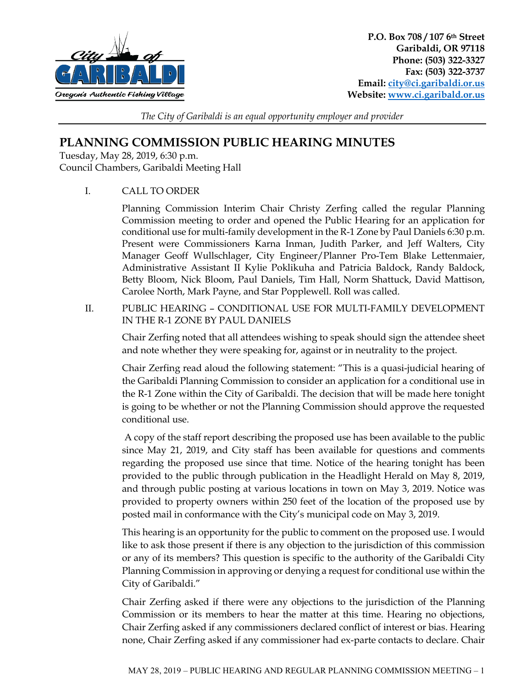

*The City of Garibaldi is an equal opportunity employer and provider*

## **PLANNING COMMISSION PUBLIC HEARING MINUTES**

Tuesday, May 28, 2019, 6:30 p.m. Council Chambers, Garibaldi Meeting Hall

I. CALL TO ORDER

Planning Commission Interim Chair Christy Zerfing called the regular Planning Commission meeting to order and opened the Public Hearing for an application for conditional use for multi-family development in the R-1 Zone by Paul Daniels 6:30 p.m. Present were Commissioners Karna Inman, Judith Parker, and Jeff Walters, City Manager Geoff Wullschlager, City Engineer/Planner Pro-Tem Blake Lettenmaier, Administrative Assistant II Kylie Poklikuha and Patricia Baldock, Randy Baldock, Betty Bloom, Nick Bloom, Paul Daniels, Tim Hall, Norm Shattuck, David Mattison, Carolee North, Mark Payne, and Star Popplewell. Roll was called.

II. PUBLIC HEARING – CONDITIONAL USE FOR MULTI-FAMILY DEVELOPMENT IN THE R-1 ZONE BY PAUL DANIELS

Chair Zerfing noted that all attendees wishing to speak should sign the attendee sheet and note whether they were speaking for, against or in neutrality to the project.

Chair Zerfing read aloud the following statement: "This is a quasi-judicial hearing of the Garibaldi Planning Commission to consider an application for a conditional use in the R-1 Zone within the City of Garibaldi. The decision that will be made here tonight is going to be whether or not the Planning Commission should approve the requested conditional use.

A copy of the staff report describing the proposed use has been available to the public since May 21, 2019, and City staff has been available for questions and comments regarding the proposed use since that time. Notice of the hearing tonight has been provided to the public through publication in the Headlight Herald on May 8, 2019, and through public posting at various locations in town on May 3, 2019. Notice was provided to property owners within 250 feet of the location of the proposed use by posted mail in conformance with the City's municipal code on May 3, 2019.

This hearing is an opportunity for the public to comment on the proposed use. I would like to ask those present if there is any objection to the jurisdiction of this commission or any of its members? This question is specific to the authority of the Garibaldi City Planning Commission in approving or denying a request for conditional use within the City of Garibaldi."

Chair Zerfing asked if there were any objections to the jurisdiction of the Planning Commission or its members to hear the matter at this time. Hearing no objections, Chair Zerfing asked if any commissioners declared conflict of interest or bias. Hearing none, Chair Zerfing asked if any commissioner had ex-parte contacts to declare. Chair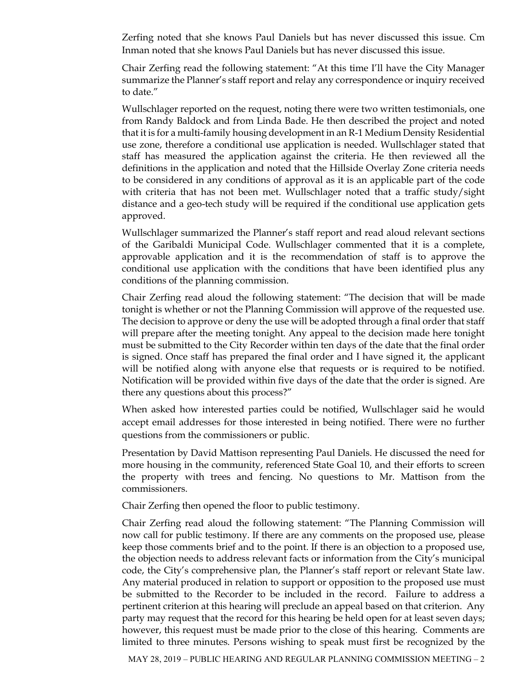Zerfing noted that she knows Paul Daniels but has never discussed this issue. Cm Inman noted that she knows Paul Daniels but has never discussed this issue.

Chair Zerfing read the following statement: "At this time I'll have the City Manager summarize the Planner's staff report and relay any correspondence or inquiry received to date."

Wullschlager reported on the request, noting there were two written testimonials, one from Randy Baldock and from Linda Bade. He then described the project and noted that it is for a multi-family housing development in an R-1 Medium Density Residential use zone, therefore a conditional use application is needed. Wullschlager stated that staff has measured the application against the criteria. He then reviewed all the definitions in the application and noted that the Hillside Overlay Zone criteria needs to be considered in any conditions of approval as it is an applicable part of the code with criteria that has not been met. Wullschlager noted that a traffic study/sight distance and a geo-tech study will be required if the conditional use application gets approved.

Wullschlager summarized the Planner's staff report and read aloud relevant sections of the Garibaldi Municipal Code. Wullschlager commented that it is a complete, approvable application and it is the recommendation of staff is to approve the conditional use application with the conditions that have been identified plus any conditions of the planning commission.

Chair Zerfing read aloud the following statement: "The decision that will be made tonight is whether or not the Planning Commission will approve of the requested use. The decision to approve or deny the use will be adopted through a final order that staff will prepare after the meeting tonight. Any appeal to the decision made here tonight must be submitted to the City Recorder within ten days of the date that the final order is signed. Once staff has prepared the final order and I have signed it, the applicant will be notified along with anyone else that requests or is required to be notified. Notification will be provided within five days of the date that the order is signed. Are there any questions about this process?"

When asked how interested parties could be notified, Wullschlager said he would accept email addresses for those interested in being notified. There were no further questions from the commissioners or public.

Presentation by David Mattison representing Paul Daniels. He discussed the need for more housing in the community, referenced State Goal 10, and their efforts to screen the property with trees and fencing. No questions to Mr. Mattison from the commissioners.

Chair Zerfing then opened the floor to public testimony.

Chair Zerfing read aloud the following statement: "The Planning Commission will now call for public testimony. If there are any comments on the proposed use, please keep those comments brief and to the point. If there is an objection to a proposed use, the objection needs to address relevant facts or information from the City's municipal code, the City's comprehensive plan, the Planner's staff report or relevant State law. Any material produced in relation to support or opposition to the proposed use must be submitted to the Recorder to be included in the record. Failure to address a pertinent criterion at this hearing will preclude an appeal based on that criterion. Any party may request that the record for this hearing be held open for at least seven days; however, this request must be made prior to the close of this hearing. Comments are limited to three minutes. Persons wishing to speak must first be recognized by the

MAY 28, 2019 – PUBLIC HEARING AND REGULAR PLANNING COMMISSION MEETING – 2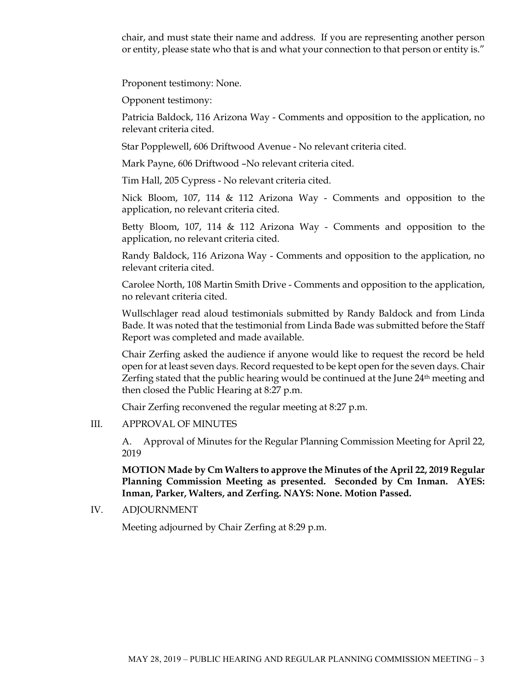chair, and must state their name and address. If you are representing another person or entity, please state who that is and what your connection to that person or entity is."

Proponent testimony: None.

Opponent testimony:

Patricia Baldock, 116 Arizona Way - Comments and opposition to the application, no relevant criteria cited.

Star Popplewell, 606 Driftwood Avenue - No relevant criteria cited.

Mark Payne, 606 Driftwood –No relevant criteria cited.

Tim Hall, 205 Cypress - No relevant criteria cited.

Nick Bloom, 107, 114 & 112 Arizona Way - Comments and opposition to the application, no relevant criteria cited.

Betty Bloom, 107, 114 & 112 Arizona Way - Comments and opposition to the application, no relevant criteria cited.

Randy Baldock, 116 Arizona Way - Comments and opposition to the application, no relevant criteria cited.

Carolee North, 108 Martin Smith Drive - Comments and opposition to the application, no relevant criteria cited.

Wullschlager read aloud testimonials submitted by Randy Baldock and from Linda Bade. It was noted that the testimonial from Linda Bade was submitted before the Staff Report was completed and made available.

Chair Zerfing asked the audience if anyone would like to request the record be held open for at least seven days. Record requested to be kept open for the seven days. Chair Zerfing stated that the public hearing would be continued at the June  $24<sup>th</sup>$  meeting and then closed the Public Hearing at 8:27 p.m.

Chair Zerfing reconvened the regular meeting at 8:27 p.m.

## III. APPROVAL OF MINUTES

A. Approval of Minutes for the Regular Planning Commission Meeting for April 22, 2019

**MOTION Made by Cm Walters to approve the Minutes of the April 22, 2019 Regular Planning Commission Meeting as presented. Seconded by Cm Inman. AYES: Inman, Parker, Walters, and Zerfing. NAYS: None. Motion Passed.**

IV. ADJOURNMENT

Meeting adjourned by Chair Zerfing at 8:29 p.m.